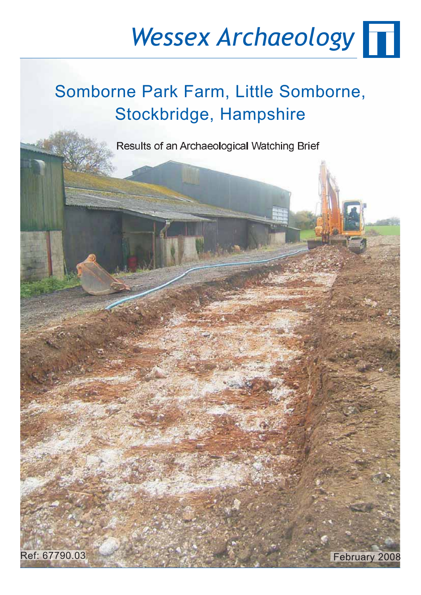## *Wessex Archaeology*

### Somborne Park Farm, Little Somborne, Stockbridge, Hampshire

Results of an Archaeological Watching Brief

February 2008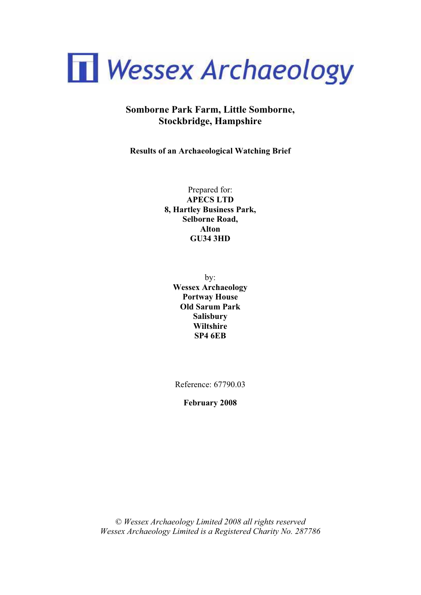

#### **Somborne Park Farm, Little Somborne, Stockbridge, Hampshire**

**Results of an Archaeological Watching Brief** 

Prepared for: **APECS LTD 8, Hartley Business Park, Selborne Road, Alton GU34 3HD** 

by: **Wessex Archaeology Portway House Old Sarum Park Salisbury Wiltshire SP4 6EB** 

Reference: 67790.03

**February 2008** 

*© Wessex Archaeology Limited 2008 all rights reserved Wessex Archaeology Limited is a Registered Charity No. 287786*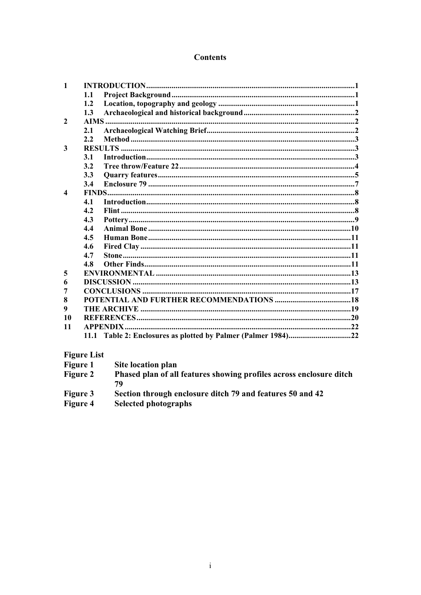#### **Contents**

| $\mathbf{1}$     |         |  |
|------------------|---------|--|
|                  | 1.1     |  |
|                  | $1.2\,$ |  |
|                  | 1.3     |  |
| $\mathcal{L}$    |         |  |
|                  | 2.1     |  |
|                  | 2.2     |  |
| 3                |         |  |
|                  | 3.1     |  |
|                  | 3.2     |  |
|                  | 3.3     |  |
|                  | 3.4     |  |
| $\boldsymbol{4}$ |         |  |
|                  | 4.1     |  |
|                  | 4.2     |  |
|                  | 4.3     |  |
|                  | 4.4     |  |
|                  | 4.5     |  |
|                  | 4.6     |  |
|                  | 4.7     |  |
|                  | 4.8     |  |
| 5                |         |  |
| 6                |         |  |
| 7                |         |  |
| 8                |         |  |
| 9                |         |  |
| 10               |         |  |
| 11               |         |  |
|                  |         |  |
|                  |         |  |

#### **Figure List**

| <b>Figure 1</b> | Site location plan                                                        |
|-----------------|---------------------------------------------------------------------------|
| <b>Figure 2</b> | Phased plan of all features showing profiles across enclosure ditch<br>79 |
| <b>Figure 3</b> | Section through enclosure ditch 79 and features 50 and 42                 |
| Figure 4        | <b>Selected photographs</b>                                               |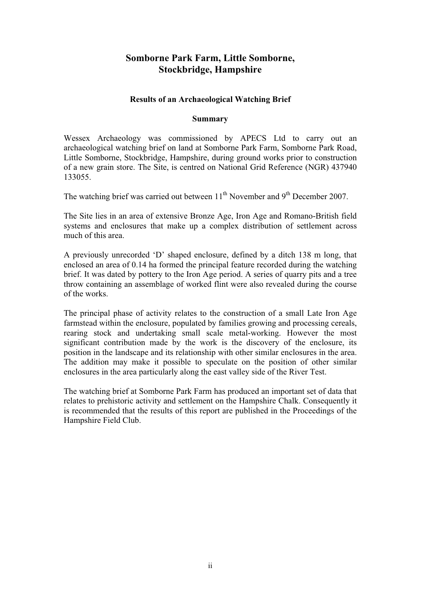#### **Somborne Park Farm, Little Somborne, Stockbridge, Hampshire**

#### **Results of an Archaeological Watching Brief**

#### **Summary**

Wessex Archaeology was commissioned by APECS Ltd to carry out an archaeological watching brief on land at Somborne Park Farm, Somborne Park Road, Little Somborne, Stockbridge, Hampshire, during ground works prior to construction of a new grain store. The Site, is centred on National Grid Reference (NGR) 437940 133055.

The watching brief was carried out between 11<sup>th</sup> November and 9<sup>th</sup> December 2007.

The Site lies in an area of extensive Bronze Age, Iron Age and Romano-British field systems and enclosures that make up a complex distribution of settlement across much of this area.

A previously unrecorded 'D' shaped enclosure, defined by a ditch 138 m long, that enclosed an area of 0.14 ha formed the principal feature recorded during the watching brief. It was dated by pottery to the Iron Age period. A series of quarry pits and a tree throw containing an assemblage of worked flint were also revealed during the course of the works.

The principal phase of activity relates to the construction of a small Late Iron Age farmstead within the enclosure, populated by families growing and processing cereals, rearing stock and undertaking small scale metal-working. However the most significant contribution made by the work is the discovery of the enclosure, its position in the landscape and its relationship with other similar enclosures in the area. The addition may make it possible to speculate on the position of other similar enclosures in the area particularly along the east valley side of the River Test.

The watching brief at Somborne Park Farm has produced an important set of data that relates to prehistoric activity and settlement on the Hampshire Chalk. Consequently it is recommended that the results of this report are published in the Proceedings of the Hampshire Field Club.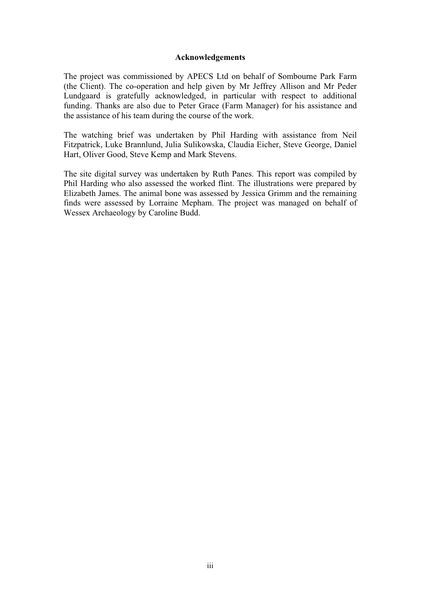#### **Acknowledgements**

The project was commissioned by APECS Ltd on behalf of Sombourne Park Farm (the Client). The co-operation and help given by Mr Jeffrey Allison and Mr Peder Lundgaard is gratefully acknowledged, in particular with respect to additional funding. Thanks are also due to Peter Grace (Farm Manager) for his assistance and the assistance of his team during the course of the work.

The watching brief was undertaken by Phil Harding with assistance from Neil Fitzpatrick, Luke Brannlund, Julia Sulikowska, Claudia Eicher, Steve George, Daniel Hart, Oliver Good, Steve Kemp and Mark Stevens.

The site digital survey was undertaken by Ruth Panes. This report was compiled by Phil Harding who also assessed the worked flint. The illustrations were prepared by Elizabeth James. The animal bone was assessed by Jessica Grimm and the remaining finds were assessed by Lorraine Mepham. The project was managed on behalf of Wessex Archaeology by Caroline Budd.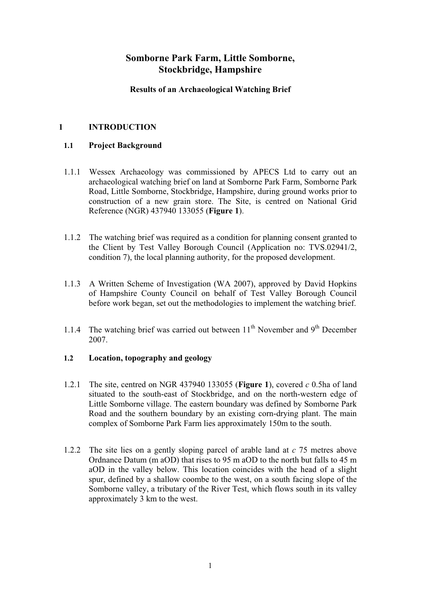#### **Somborne Park Farm, Little Somborne, Stockbridge, Hampshire**

#### **Results of an Archaeological Watching Brief**

#### **1 INTRODUCTION**

#### **1.1 Project Background**

- 1.1.1 Wessex Archaeology was commissioned by APECS Ltd to carry out an archaeological watching brief on land at Somborne Park Farm, Somborne Park Road, Little Somborne, Stockbridge, Hampshire, during ground works prior to construction of a new grain store. The Site, is centred on National Grid Reference (NGR) 437940 133055 (**Figure 1**).
- 1.1.2 The watching brief was required as a condition for planning consent granted to the Client by Test Valley Borough Council (Application no: TVS.02941/2, condition 7), the local planning authority, for the proposed development.
- 1.1.3 A Written Scheme of Investigation (WA 2007), approved by David Hopkins of Hampshire County Council on behalf of Test Valley Borough Council before work began, set out the methodologies to implement the watching brief.
- 1.1.4 The watching brief was carried out between  $11<sup>th</sup>$  November and  $9<sup>th</sup>$  December 2007.

#### **1.2 Location, topography and geology**

- 1.2.1 The site, centred on NGR 437940 133055 (**Figure 1**), covered *c* 0.5ha of land situated to the south-east of Stockbridge, and on the north-western edge of Little Somborne village. The eastern boundary was defined by Somborne Park Road and the southern boundary by an existing corn-drying plant. The main complex of Somborne Park Farm lies approximately 150m to the south.
- 1.2.2 The site lies on a gently sloping parcel of arable land at *c* 75 metres above Ordnance Datum (m aOD) that rises to 95 m aOD to the north but falls to 45 m aOD in the valley below. This location coincides with the head of a slight spur, defined by a shallow coombe to the west, on a south facing slope of the Somborne valley, a tributary of the River Test, which flows south in its valley approximately 3 km to the west.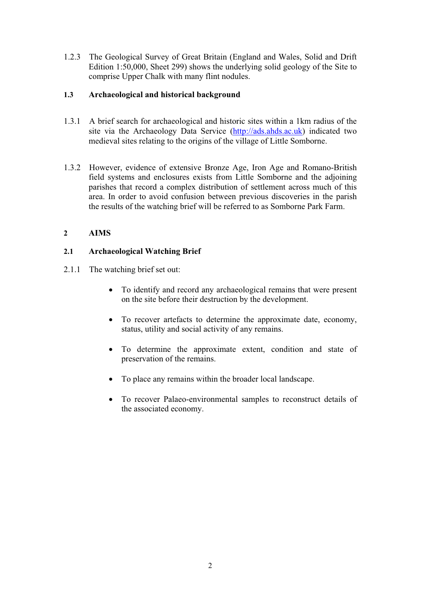1.2.3 The Geological Survey of Great Britain (England and Wales, Solid and Drift Edition 1:50,000, Sheet 299) shows the underlying solid geology of the Site to comprise Upper Chalk with many flint nodules.

#### **1.3 Archaeological and historical background**

- 1.3.1 A brief search for archaeological and historic sites within a 1km radius of the site via the Archaeology Data Service (http://ads.ahds.ac.uk) indicated two medieval sites relating to the origins of the village of Little Somborne.
- 1.3.2 However, evidence of extensive Bronze Age, Iron Age and Romano-British field systems and enclosures exists from Little Somborne and the adjoining parishes that record a complex distribution of settlement across much of this area. In order to avoid confusion between previous discoveries in the parish the results of the watching brief will be referred to as Somborne Park Farm.

#### **2 AIMS**

#### **2.1 Archaeological Watching Brief**

- 2.1.1 The watching brief set out:
	- To identify and record any archaeological remains that were present on the site before their destruction by the development.
	- To recover artefacts to determine the approximate date, economy, status, utility and social activity of any remains.
	- To determine the approximate extent, condition and state of preservation of the remains.
	- To place any remains within the broader local landscape.
	- To recover Palaeo-environmental samples to reconstruct details of the associated economy.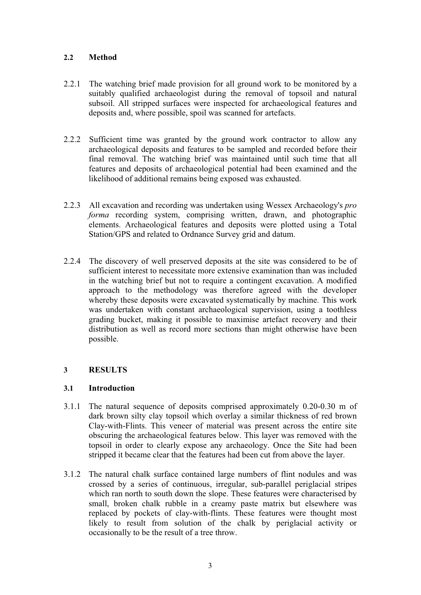#### **2.2 Method**

- 2.2.1 The watching brief made provision for all ground work to be monitored by a suitably qualified archaeologist during the removal of topsoil and natural subsoil. All stripped surfaces were inspected for archaeological features and deposits and, where possible, spoil was scanned for artefacts.
- 2.2.2 Sufficient time was granted by the ground work contractor to allow any archaeological deposits and features to be sampled and recorded before their final removal. The watching brief was maintained until such time that all features and deposits of archaeological potential had been examined and the likelihood of additional remains being exposed was exhausted.
- 2.2.3 All excavation and recording was undertaken using Wessex Archaeology's *pro forma* recording system, comprising written, drawn, and photographic elements. Archaeological features and deposits were plotted using a Total Station/GPS and related to Ordnance Survey grid and datum.
- 2.2.4 The discovery of well preserved deposits at the site was considered to be of sufficient interest to necessitate more extensive examination than was included in the watching brief but not to require a contingent excavation. A modified approach to the methodology was therefore agreed with the developer whereby these deposits were excavated systematically by machine. This work was undertaken with constant archaeological supervision, using a toothless grading bucket, making it possible to maximise artefact recovery and their distribution as well as record more sections than might otherwise have been possible.

#### **3 RESULTS**

#### **3.1 Introduction**

- 3.1.1 The natural sequence of deposits comprised approximately 0.20-0.30 m of dark brown silty clay topsoil which overlay a similar thickness of red brown Clay-with-Flints. This veneer of material was present across the entire site obscuring the archaeological features below. This layer was removed with the topsoil in order to clearly expose any archaeology. Once the Site had been stripped it became clear that the features had been cut from above the layer.
- 3.1.2 The natural chalk surface contained large numbers of flint nodules and was crossed by a series of continuous, irregular, sub-parallel periglacial stripes which ran north to south down the slope. These features were characterised by small, broken chalk rubble in a creamy paste matrix but elsewhere was replaced by pockets of clay-with-flints. These features were thought most likely to result from solution of the chalk by periglacial activity or occasionally to be the result of a tree throw.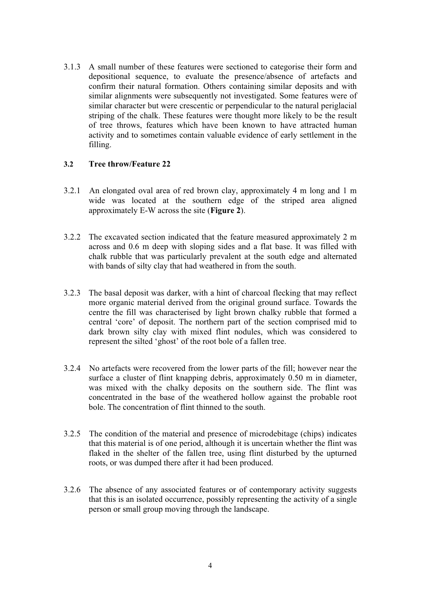3.1.3 A small number of these features were sectioned to categorise their form and depositional sequence, to evaluate the presence/absence of artefacts and confirm their natural formation. Others containing similar deposits and with similar alignments were subsequently not investigated. Some features were of similar character but were crescentic or perpendicular to the natural periglacial striping of the chalk. These features were thought more likely to be the result of tree throws, features which have been known to have attracted human activity and to sometimes contain valuable evidence of early settlement in the filling.

#### **3.2 Tree throw/Feature 22**

- 3.2.1 An elongated oval area of red brown clay, approximately 4 m long and 1 m wide was located at the southern edge of the striped area aligned approximately E-W across the site (**Figure 2**).
- 3.2.2 The excavated section indicated that the feature measured approximately 2 m across and 0.6 m deep with sloping sides and a flat base. It was filled with chalk rubble that was particularly prevalent at the south edge and alternated with bands of silty clay that had weathered in from the south.
- 3.2.3 The basal deposit was darker, with a hint of charcoal flecking that may reflect more organic material derived from the original ground surface. Towards the centre the fill was characterised by light brown chalky rubble that formed a central 'core' of deposit. The northern part of the section comprised mid to dark brown silty clay with mixed flint nodules, which was considered to represent the silted 'ghost' of the root bole of a fallen tree.
- 3.2.4 No artefacts were recovered from the lower parts of the fill; however near the surface a cluster of flint knapping debris, approximately 0.50 m in diameter, was mixed with the chalky deposits on the southern side. The flint was concentrated in the base of the weathered hollow against the probable root bole. The concentration of flint thinned to the south.
- 3.2.5 The condition of the material and presence of microdebitage (chips) indicates that this material is of one period, although it is uncertain whether the flint was flaked in the shelter of the fallen tree, using flint disturbed by the upturned roots, or was dumped there after it had been produced.
- 3.2.6 The absence of any associated features or of contemporary activity suggests that this is an isolated occurrence, possibly representing the activity of a single person or small group moving through the landscape.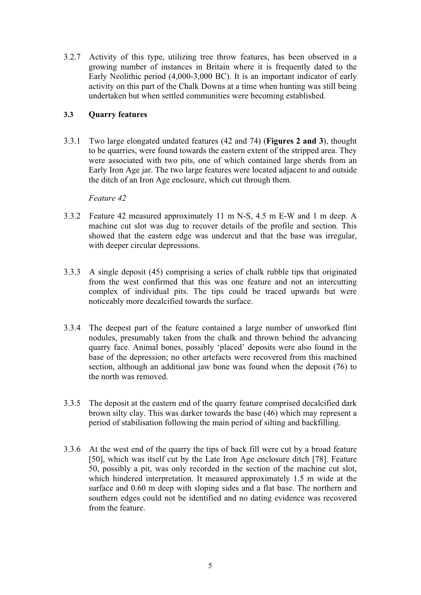3.2.7 Activity of this type, utilizing tree throw features, has been observed in a growing number of instances in Britain where it is frequently dated to the Early Neolithic period (4,000-3,000 BC). It is an important indicator of early activity on this part of the Chalk Downs at a time when hunting was still being undertaken but when settled communities were becoming established.

#### **3.3 Quarry features**

3.3.1 Two large elongated undated features (42 and 74) (**Figures 2 and 3**), thought to be quarries, were found towards the eastern extent of the stripped area. They were associated with two pits, one of which contained large sherds from an Early Iron Age jar. The two large features were located adjacent to and outside the ditch of an Iron Age enclosure, which cut through them.

*Feature 42* 

- 3.3.2 Feature 42 measured approximately 11 m N-S, 4.5 m E-W and 1 m deep. A machine cut slot was dug to recover details of the profile and section. This showed that the eastern edge was undercut and that the base was irregular, with deeper circular depressions.
- 3.3.3 A single deposit (45) comprising a series of chalk rubble tips that originated from the west confirmed that this was one feature and not an intercutting complex of individual pits. The tips could be traced upwards but were noticeably more decalcified towards the surface.
- 3.3.4 The deepest part of the feature contained a large number of unworked flint nodules, presumably taken from the chalk and thrown behind the advancing quarry face. Animal bones, possibly 'placed' deposits were also found in the base of the depression; no other artefacts were recovered from this machined section, although an additional jaw bone was found when the deposit (76) to the north was removed.
- 3.3.5 The deposit at the eastern end of the quarry feature comprised decalcified dark brown silty clay. This was darker towards the base (46) which may represent a period of stabilisation following the main period of silting and backfilling.
- 3.3.6 At the west end of the quarry the tips of back fill were cut by a broad feature [50], which was itself cut by the Late Iron Age enclosure ditch [78]. Feature 50, possibly a pit, was only recorded in the section of the machine cut slot, which hindered interpretation. It measured approximately 1.5 m wide at the surface and 0.60 m deep with sloping sides and a flat base. The northern and southern edges could not be identified and no dating evidence was recovered from the feature.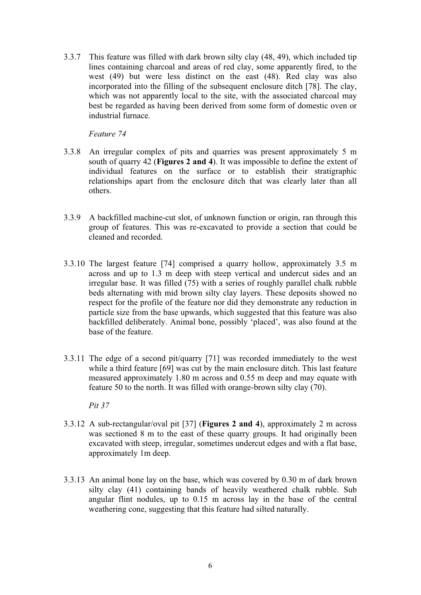3.3.7 This feature was filled with dark brown silty clay (48, 49), which included tip lines containing charcoal and areas of red clay, some apparently fired, to the west (49) but were less distinct on the east (48). Red clay was also incorporated into the filling of the subsequent enclosure ditch [78]. The clay, which was not apparently local to the site, with the associated charcoal may best be regarded as having been derived from some form of domestic oven or industrial furnace.

*Feature 74*

- 3.3.8 An irregular complex of pits and quarries was present approximately 5 m south of quarry 42 (**Figures 2 and 4**). It was impossible to define the extent of individual features on the surface or to establish their stratigraphic relationships apart from the enclosure ditch that was clearly later than all others.
- 3.3.9 A backfilled machine-cut slot, of unknown function or origin, ran through this group of features. This was re-excavated to provide a section that could be cleaned and recorded.
- 3.3.10 The largest feature [74] comprised a quarry hollow, approximately 3.5 m across and up to 1.3 m deep with steep vertical and undercut sides and an irregular base. It was filled (75) with a series of roughly parallel chalk rubble beds alternating with mid brown silty clay layers. These deposits showed no respect for the profile of the feature nor did they demonstrate any reduction in particle size from the base upwards, which suggested that this feature was also backfilled deliberately. Animal bone, possibly 'placed', was also found at the base of the feature.
- 3.3.11 The edge of a second pit/quarry [71] was recorded immediately to the west while a third feature [69] was cut by the main enclosure ditch. This last feature measured approximately 1.80 m across and 0.55 m deep and may equate with feature 50 to the north. It was filled with orange-brown silty clay (70).

*Pit 37* 

- 3.3.12 A sub-rectangular/oval pit [37] (**Figures 2 and 4**), approximately 2 m across was sectioned 8 m to the east of these quarry groups. It had originally been excavated with steep, irregular, sometimes undercut edges and with a flat base, approximately 1m deep.
- 3.3.13 An animal bone lay on the base, which was covered by 0.30 m of dark brown silty clay (41) containing bands of heavily weathered chalk rubble. Sub angular flint nodules, up to 0.15 m across lay in the base of the central weathering cone, suggesting that this feature had silted naturally.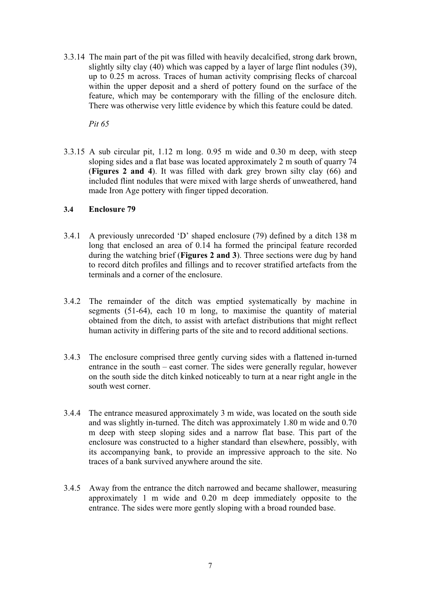3.3.14 The main part of the pit was filled with heavily decalcified, strong dark brown, slightly silty clay (40) which was capped by a layer of large flint nodules (39), up to 0.25 m across. Traces of human activity comprising flecks of charcoal within the upper deposit and a sherd of pottery found on the surface of the feature, which may be contemporary with the filling of the enclosure ditch. There was otherwise very little evidence by which this feature could be dated.

*Pit 65* 

3.3.15 A sub circular pit, 1.12 m long. 0.95 m wide and 0.30 m deep, with steep sloping sides and a flat base was located approximately 2 m south of quarry 74 (**Figures 2 and 4**). It was filled with dark grey brown silty clay (66) and included flint nodules that were mixed with large sherds of unweathered, hand made Iron Age pottery with finger tipped decoration.

#### **3.4 Enclosure 79**

- 3.4.1 A previously unrecorded 'D' shaped enclosure (79) defined by a ditch 138 m long that enclosed an area of 0.14 ha formed the principal feature recorded during the watching brief (**Figures 2 and 3**). Three sections were dug by hand to record ditch profiles and fillings and to recover stratified artefacts from the terminals and a corner of the enclosure.
- 3.4.2 The remainder of the ditch was emptied systematically by machine in segments (51-64), each 10 m long, to maximise the quantity of material obtained from the ditch, to assist with artefact distributions that might reflect human activity in differing parts of the site and to record additional sections.
- 3.4.3 The enclosure comprised three gently curving sides with a flattened in-turned entrance in the south – east corner. The sides were generally regular, however on the south side the ditch kinked noticeably to turn at a near right angle in the south west corner.
- 3.4.4 The entrance measured approximately 3 m wide, was located on the south side and was slightly in-turned. The ditch was approximately 1.80 m wide and 0.70 m deep with steep sloping sides and a narrow flat base. This part of the enclosure was constructed to a higher standard than elsewhere, possibly, with its accompanying bank, to provide an impressive approach to the site. No traces of a bank survived anywhere around the site.
- 3.4.5 Away from the entrance the ditch narrowed and became shallower, measuring approximately 1 m wide and 0.20 m deep immediately opposite to the entrance. The sides were more gently sloping with a broad rounded base.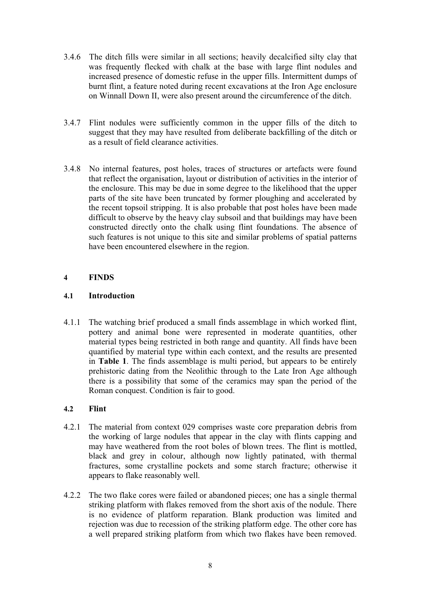- 3.4.6 The ditch fills were similar in all sections; heavily decalcified silty clay that was frequently flecked with chalk at the base with large flint nodules and increased presence of domestic refuse in the upper fills. Intermittent dumps of burnt flint, a feature noted during recent excavations at the Iron Age enclosure on Winnall Down II, were also present around the circumference of the ditch.
- 3.4.7 Flint nodules were sufficiently common in the upper fills of the ditch to suggest that they may have resulted from deliberate backfilling of the ditch or as a result of field clearance activities.
- 3.4.8 No internal features, post holes, traces of structures or artefacts were found that reflect the organisation, layout or distribution of activities in the interior of the enclosure. This may be due in some degree to the likelihood that the upper parts of the site have been truncated by former ploughing and accelerated by the recent topsoil stripping. It is also probable that post holes have been made difficult to observe by the heavy clay subsoil and that buildings may have been constructed directly onto the chalk using flint foundations. The absence of such features is not unique to this site and similar problems of spatial patterns have been encountered elsewhere in the region.

#### **4 FINDS**

#### **4.1 Introduction**

4.1.1 The watching brief produced a small finds assemblage in which worked flint, pottery and animal bone were represented in moderate quantities, other material types being restricted in both range and quantity. All finds have been quantified by material type within each context, and the results are presented in **Table 1**. The finds assemblage is multi period, but appears to be entirely prehistoric dating from the Neolithic through to the Late Iron Age although there is a possibility that some of the ceramics may span the period of the Roman conquest. Condition is fair to good.

#### **4.2 Flint**

- 4.2.1 The material from context 029 comprises waste core preparation debris from the working of large nodules that appear in the clay with flints capping and may have weathered from the root boles of blown trees. The flint is mottled, black and grey in colour, although now lightly patinated, with thermal fractures, some crystalline pockets and some starch fracture; otherwise it appears to flake reasonably well.
- 4.2.2 The two flake cores were failed or abandoned pieces; one has a single thermal striking platform with flakes removed from the short axis of the nodule. There is no evidence of platform reparation. Blank production was limited and rejection was due to recession of the striking platform edge. The other core has a well prepared striking platform from which two flakes have been removed.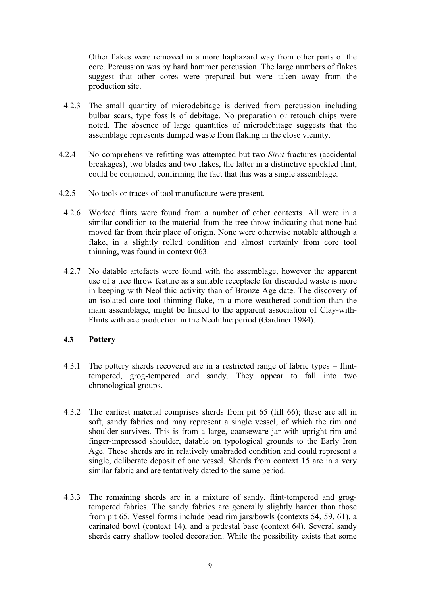Other flakes were removed in a more haphazard way from other parts of the core. Percussion was by hard hammer percussion. The large numbers of flakes suggest that other cores were prepared but were taken away from the production site.

- 4.2.3 The small quantity of microdebitage is derived from percussion including bulbar scars, type fossils of debitage. No preparation or retouch chips were noted. The absence of large quantities of microdebitage suggests that the assemblage represents dumped waste from flaking in the close vicinity.
- 4.2.4 No comprehensive refitting was attempted but two *Siret* fractures (accidental breakages), two blades and two flakes, the latter in a distinctive speckled flint, could be conjoined, confirming the fact that this was a single assemblage.
- 4.2.5 No tools or traces of tool manufacture were present.
	- 4.2.6 Worked flints were found from a number of other contexts. All were in a similar condition to the material from the tree throw indicating that none had moved far from their place of origin. None were otherwise notable although a flake, in a slightly rolled condition and almost certainly from core tool thinning, was found in context 063.
	- 4.2.7 No datable artefacts were found with the assemblage, however the apparent use of a tree throw feature as a suitable receptacle for discarded waste is more in keeping with Neolithic activity than of Bronze Age date. The discovery of an isolated core tool thinning flake, in a more weathered condition than the main assemblage, might be linked to the apparent association of Clay-with-Flints with axe production in the Neolithic period (Gardiner 1984).

#### **4.3 Pottery**

- 4.3.1 The pottery sherds recovered are in a restricted range of fabric types flinttempered, grog-tempered and sandy. They appear to fall into two chronological groups.
- 4.3.2 The earliest material comprises sherds from pit 65 (fill 66); these are all in soft, sandy fabrics and may represent a single vessel, of which the rim and shoulder survives. This is from a large, coarseware jar with upright rim and finger-impressed shoulder, datable on typological grounds to the Early Iron Age. These sherds are in relatively unabraded condition and could represent a single, deliberate deposit of one vessel. Sherds from context 15 are in a very similar fabric and are tentatively dated to the same period.
- 4.3.3 The remaining sherds are in a mixture of sandy, flint-tempered and grogtempered fabrics. The sandy fabrics are generally slightly harder than those from pit 65. Vessel forms include bead rim jars/bowls (contexts 54, 59, 61), a carinated bowl (context 14), and a pedestal base (context 64). Several sandy sherds carry shallow tooled decoration. While the possibility exists that some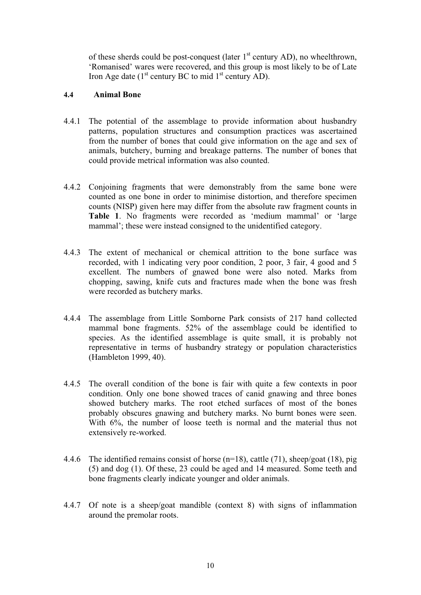of these sherds could be post-conquest (later  $1<sup>st</sup>$  century AD), no wheelthrown, 'Romanised' wares were recovered, and this group is most likely to be of Late Iron Age date  $(1<sup>st</sup>$  century BC to mid  $1<sup>st</sup>$  century AD).

#### **4.4 Animal Bone**

- 4.4.1 The potential of the assemblage to provide information about husbandry patterns, population structures and consumption practices was ascertained from the number of bones that could give information on the age and sex of animals, butchery, burning and breakage patterns. The number of bones that could provide metrical information was also counted.
- 4.4.2 Conjoining fragments that were demonstrably from the same bone were counted as one bone in order to minimise distortion, and therefore specimen counts (NISP) given here may differ from the absolute raw fragment counts in **Table 1**. No fragments were recorded as 'medium mammal' or 'large mammal'; these were instead consigned to the unidentified category.
- 4.4.3 The extent of mechanical or chemical attrition to the bone surface was recorded, with 1 indicating very poor condition, 2 poor, 3 fair, 4 good and 5 excellent. The numbers of gnawed bone were also noted. Marks from chopping, sawing, knife cuts and fractures made when the bone was fresh were recorded as butchery marks.
- 4.4.4 The assemblage from Little Somborne Park consists of 217 hand collected mammal bone fragments. 52% of the assemblage could be identified to species. As the identified assemblage is quite small, it is probably not representative in terms of husbandry strategy or population characteristics (Hambleton 1999, 40).
- 4.4.5 The overall condition of the bone is fair with quite a few contexts in poor condition. Only one bone showed traces of canid gnawing and three bones showed butchery marks. The root etched surfaces of most of the bones probably obscures gnawing and butchery marks. No burnt bones were seen. With  $6\%$ , the number of loose teeth is normal and the material thus not extensively re-worked.
- 4.4.6 The identified remains consist of horse (n=18), cattle (71), sheep/goat (18), pig (5) and dog (1). Of these, 23 could be aged and 14 measured. Some teeth and bone fragments clearly indicate younger and older animals.
- 4.4.7 Of note is a sheep/goat mandible (context 8) with signs of inflammation around the premolar roots.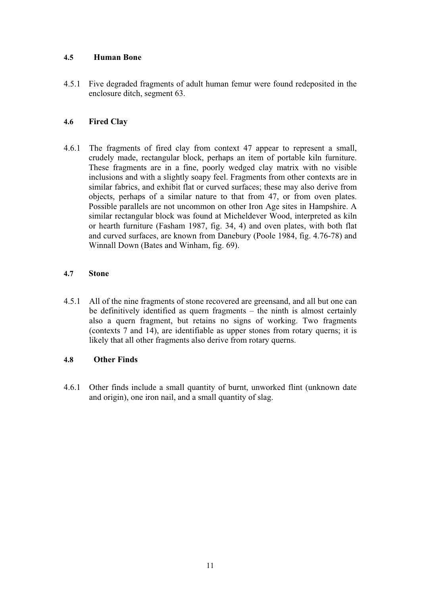#### **4.5 Human Bone**

4.5.1 Five degraded fragments of adult human femur were found redeposited in the enclosure ditch, segment 63.

#### **4.6 Fired Clay**

4.6.1 The fragments of fired clay from context 47 appear to represent a small, crudely made, rectangular block, perhaps an item of portable kiln furniture. These fragments are in a fine, poorly wedged clay matrix with no visible inclusions and with a slightly soapy feel. Fragments from other contexts are in similar fabrics, and exhibit flat or curved surfaces; these may also derive from objects, perhaps of a similar nature to that from 47, or from oven plates. Possible parallels are not uncommon on other Iron Age sites in Hampshire. A similar rectangular block was found at Micheldever Wood, interpreted as kiln or hearth furniture (Fasham 1987, fig. 34, 4) and oven plates, with both flat and curved surfaces, are known from Danebury (Poole 1984, fig. 4.76-78) and Winnall Down (Bates and Winham, fig. 69).

#### **4.7 Stone**

4.5.1 All of the nine fragments of stone recovered are greensand, and all but one can be definitively identified as quern fragments – the ninth is almost certainly also a quern fragment, but retains no signs of working. Two fragments (contexts 7 and 14), are identifiable as upper stones from rotary querns; it is likely that all other fragments also derive from rotary querns.

#### **4.8 Other Finds**

4.6.1 Other finds include a small quantity of burnt, unworked flint (unknown date and origin), one iron nail, and a small quantity of slag.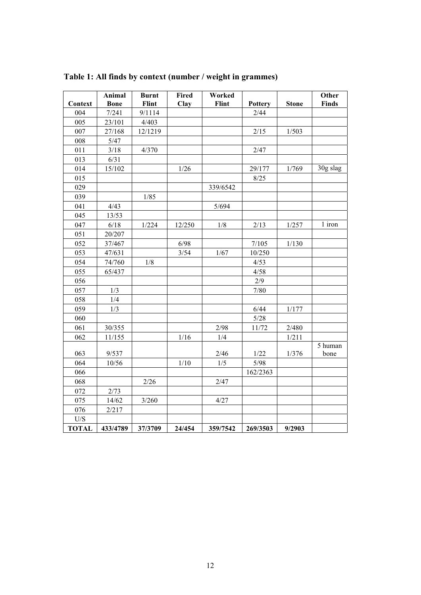| Context                 | Animal<br><b>Bone</b> | <b>Burnt</b><br>Flint | <b>Fired</b><br>Clay | Worked<br>Flint | <b>Pottery</b> | <b>Stone</b> | Other<br><b>Finds</b> |
|-------------------------|-----------------------|-----------------------|----------------------|-----------------|----------------|--------------|-----------------------|
| 004                     | 7/241                 | 9/1114                |                      |                 | 2/44           |              |                       |
| 005                     | 23/101                | 4/403                 |                      |                 |                |              |                       |
| 007                     | 27/168                | 12/1219               |                      |                 | 2/15           | 1/503        |                       |
| 008                     | 5/47                  |                       |                      |                 |                |              |                       |
| 011                     | 3/18                  | 4/370                 |                      |                 | 2/47           |              |                       |
| 013                     | 6/31                  |                       |                      |                 |                |              |                       |
| 014                     | 15/102                |                       | $1/26$               |                 | 29/177         | 1/769        | 30g slag              |
| 015                     |                       |                       |                      |                 | 8/25           |              |                       |
| 029                     |                       |                       |                      |                 |                |              |                       |
|                         |                       |                       |                      | 339/6542        |                |              |                       |
| 039                     |                       | $1/85$                |                      |                 |                |              |                       |
| 041                     | 4/43                  |                       |                      | 5/694           |                |              |                       |
| 045                     | 13/53                 |                       |                      |                 |                |              | 1 iron                |
| 047                     | 6/18                  | 1/224                 | 12/250               | 1/8             | 2/13           | 1/257        |                       |
| 051                     | 20/207                |                       |                      |                 |                |              |                       |
| 052                     | 37/467                |                       | 6/98                 |                 | 7/105          | 1/130        |                       |
| 053                     | 47/631                |                       | 3/54                 | 1/67            | 10/250         |              |                       |
| 054                     | 74/760                | 1/8                   |                      |                 | 4/53           |              |                       |
| 055                     | 65/437                |                       |                      |                 | 4/58           |              |                       |
| 056                     |                       |                       |                      |                 | 2/9            |              |                       |
| 057                     | 1/3                   |                       |                      |                 | $7/80$         |              |                       |
| 058                     | 1/4                   |                       |                      |                 |                |              |                       |
| 059                     | 1/3                   |                       |                      |                 | 6/44           | 1/177        |                       |
| 060                     |                       |                       |                      |                 | $5/28$         |              |                       |
| 061                     | 30/355                |                       |                      | 2/98            | 11/72          | 2/480        |                       |
| 062                     | 11/155                |                       | 1/16                 | 1/4             |                | 1/211        |                       |
|                         |                       |                       |                      |                 |                |              | 5 human               |
| 063                     | 9/537                 |                       |                      | 2/46            | 1/22           | 1/376        | bone                  |
| 064                     | 10/56                 |                       | $1/10$               | 1/5             | $5/98$         |              |                       |
| 066                     |                       |                       |                      |                 | 162/2363       |              |                       |
| 068                     |                       | 2/26                  |                      | 2/47            |                |              |                       |
| 072                     | 2/73                  |                       |                      |                 |                |              |                       |
| 075                     | 14/62                 | 3/260                 |                      | 4/27            |                |              |                       |
| 076                     | 2/217                 |                       |                      |                 |                |              |                       |
| $\mathrm{U}/\mathrm{S}$ |                       |                       |                      |                 |                |              |                       |
| <b>TOTAL</b>            | 433/4789              | 37/3709               | 24/454               | 359/7542        | 269/3503       | 9/2903       |                       |

**Table 1: All finds by context (number / weight in grammes)**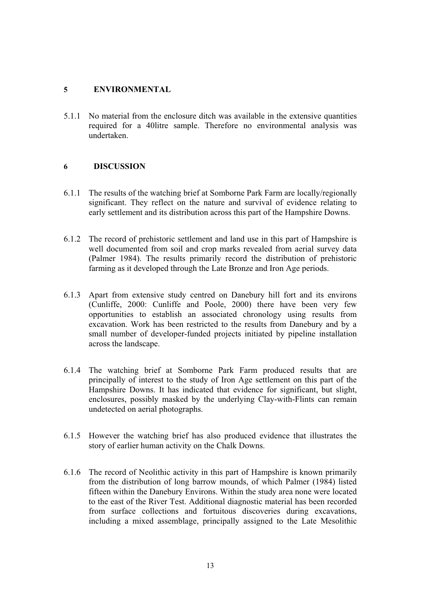#### **5 ENVIRONMENTAL**

5.1.1 No material from the enclosure ditch was available in the extensive quantities required for a 40litre sample. Therefore no environmental analysis was undertaken.

#### **6 DISCUSSION**

- 6.1.1 The results of the watching brief at Somborne Park Farm are locally/regionally significant. They reflect on the nature and survival of evidence relating to early settlement and its distribution across this part of the Hampshire Downs.
- 6.1.2 The record of prehistoric settlement and land use in this part of Hampshire is well documented from soil and crop marks revealed from aerial survey data (Palmer 1984). The results primarily record the distribution of prehistoric farming as it developed through the Late Bronze and Iron Age periods.
- 6.1.3 Apart from extensive study centred on Danebury hill fort and its environs (Cunliffe, 2000: Cunliffe and Poole, 2000) there have been very few opportunities to establish an associated chronology using results from excavation. Work has been restricted to the results from Danebury and by a small number of developer-funded projects initiated by pipeline installation across the landscape.
- 6.1.4 The watching brief at Somborne Park Farm produced results that are principally of interest to the study of Iron Age settlement on this part of the Hampshire Downs. It has indicated that evidence for significant, but slight, enclosures, possibly masked by the underlying Clay-with-Flints can remain undetected on aerial photographs.
- 6.1.5 However the watching brief has also produced evidence that illustrates the story of earlier human activity on the Chalk Downs.
- 6.1.6 The record of Neolithic activity in this part of Hampshire is known primarily from the distribution of long barrow mounds, of which Palmer (1984) listed fifteen within the Danebury Environs. Within the study area none were located to the east of the River Test. Additional diagnostic material has been recorded from surface collections and fortuitous discoveries during excavations, including a mixed assemblage, principally assigned to the Late Mesolithic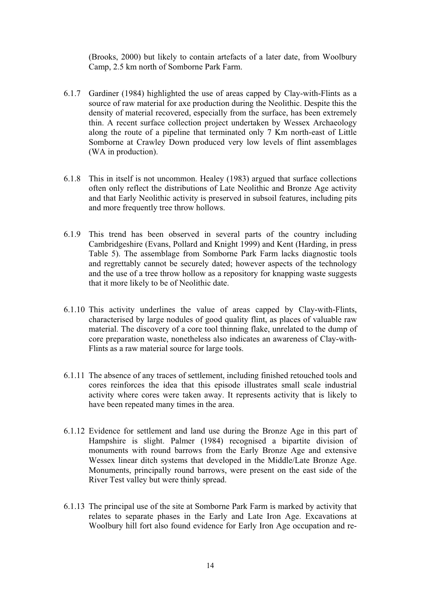(Brooks, 2000) but likely to contain artefacts of a later date, from Woolbury Camp, 2.5 km north of Somborne Park Farm.

- 6.1.7 Gardiner (1984) highlighted the use of areas capped by Clay-with-Flints as a source of raw material for axe production during the Neolithic. Despite this the density of material recovered, especially from the surface, has been extremely thin. A recent surface collection project undertaken by Wessex Archaeology along the route of a pipeline that terminated only 7 Km north-east of Little Somborne at Crawley Down produced very low levels of flint assemblages (WA in production).
- 6.1.8 This in itself is not uncommon. Healey (1983) argued that surface collections often only reflect the distributions of Late Neolithic and Bronze Age activity and that Early Neolithic activity is preserved in subsoil features, including pits and more frequently tree throw hollows.
- 6.1.9 This trend has been observed in several parts of the country including Cambridgeshire (Evans, Pollard and Knight 1999) and Kent (Harding, in press Table 5). The assemblage from Somborne Park Farm lacks diagnostic tools and regrettably cannot be securely dated; however aspects of the technology and the use of a tree throw hollow as a repository for knapping waste suggests that it more likely to be of Neolithic date.
- 6.1.10 This activity underlines the value of areas capped by Clay-with-Flints, characterised by large nodules of good quality flint, as places of valuable raw material. The discovery of a core tool thinning flake, unrelated to the dump of core preparation waste, nonetheless also indicates an awareness of Clay-with-Flints as a raw material source for large tools.
- 6.1.11 The absence of any traces of settlement, including finished retouched tools and cores reinforces the idea that this episode illustrates small scale industrial activity where cores were taken away. It represents activity that is likely to have been repeated many times in the area.
- 6.1.12 Evidence for settlement and land use during the Bronze Age in this part of Hampshire is slight. Palmer (1984) recognised a bipartite division of monuments with round barrows from the Early Bronze Age and extensive Wessex linear ditch systems that developed in the Middle/Late Bronze Age. Monuments, principally round barrows, were present on the east side of the River Test valley but were thinly spread.
- 6.1.13 The principal use of the site at Somborne Park Farm is marked by activity that relates to separate phases in the Early and Late Iron Age. Excavations at Woolbury hill fort also found evidence for Early Iron Age occupation and re-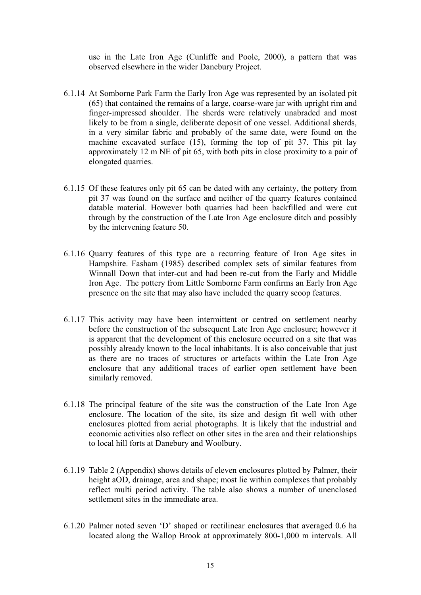use in the Late Iron Age (Cunliffe and Poole, 2000), a pattern that was observed elsewhere in the wider Danebury Project.

- 6.1.14 At Somborne Park Farm the Early Iron Age was represented by an isolated pit (65) that contained the remains of a large, coarse-ware jar with upright rim and finger-impressed shoulder. The sherds were relatively unabraded and most likely to be from a single, deliberate deposit of one vessel. Additional sherds, in a very similar fabric and probably of the same date, were found on the machine excavated surface (15), forming the top of pit 37. This pit lay approximately 12 m NE of pit 65, with both pits in close proximity to a pair of elongated quarries.
- 6.1.15 Of these features only pit 65 can be dated with any certainty, the pottery from pit 37 was found on the surface and neither of the quarry features contained datable material. However both quarries had been backfilled and were cut through by the construction of the Late Iron Age enclosure ditch and possibly by the intervening feature 50.
- 6.1.16 Quarry features of this type are a recurring feature of Iron Age sites in Hampshire. Fasham (1985) described complex sets of similar features from Winnall Down that inter-cut and had been re-cut from the Early and Middle Iron Age. The pottery from Little Somborne Farm confirms an Early Iron Age presence on the site that may also have included the quarry scoop features.
- 6.1.17 This activity may have been intermittent or centred on settlement nearby before the construction of the subsequent Late Iron Age enclosure; however it is apparent that the development of this enclosure occurred on a site that was possibly already known to the local inhabitants. It is also conceivable that just as there are no traces of structures or artefacts within the Late Iron Age enclosure that any additional traces of earlier open settlement have been similarly removed.
- 6.1.18 The principal feature of the site was the construction of the Late Iron Age enclosure. The location of the site, its size and design fit well with other enclosures plotted from aerial photographs. It is likely that the industrial and economic activities also reflect on other sites in the area and their relationships to local hill forts at Danebury and Woolbury.
- 6.1.19 Table 2 (Appendix) shows details of eleven enclosures plotted by Palmer, their height aOD, drainage, area and shape; most lie within complexes that probably reflect multi period activity. The table also shows a number of unenclosed settlement sites in the immediate area.
- 6.1.20 Palmer noted seven 'D' shaped or rectilinear enclosures that averaged 0.6 ha located along the Wallop Brook at approximately 800-1,000 m intervals. All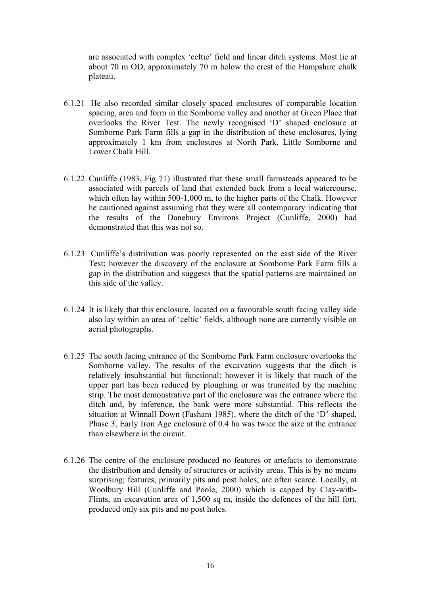are associated with complex 'celtic' field and linear ditch systems. Most lie at about 70 m OD, approximately 70 m below the crest of the Hampshire chalk plateau.

- 6.1.21 He also recorded similar closely spaced enclosures of comparable location spacing, area and form in the Somborne valley and another at Green Place that overlooks the River Test. The newly recognised 'D' shaped enclosure at Somborne Park Farm fills a gap in the distribution of these enclosures, lying approximately 1 km from enclosures at North Park, Little Somborne and Lower Chalk Hill.
- 6.1.22 Cunliffe (1983, Fig 71) illustrated that these small farmsteads appeared to be associated with parcels of land that extended back from a local watercourse, which often lay within 500-1,000 m, to the higher parts of the Chalk. However he cautioned against assuming that they were all contemporary indicating that the results of the Danebury Environs Project (Cunliffe, 2000) had demonstrated that this was not so.
- 6.1.23 Cunliffe's distribution was poorly represented on the east side of the River Test; however the discovery of the enclosure at Somborne Park Farm fills a gap in the distribution and suggests that the spatial patterns are maintained on this side of the valley.
- 6.1.24 It is likely that this enclosure, located on a favourable south facing valley side also lay within an area of 'celtic' fields, although none are currently visible on aerial photographs.
- 6.1.25 The south facing entrance of the Somborne Park Farm enclosure overlooks the Somborne valley. The results of the excavation suggests that the ditch is relatively insubstantial but functional; however it is likely that much of the upper part has been reduced by ploughing or was truncated by the machine strip. The most demonstrative part of the enclosure was the entrance where the ditch and, by inference, the bank were more substantial. This reflects the situation at Winnall Down (Fasham 1985), where the ditch of the 'D' shaped, Phase 3, Early Iron Age enclosure of 0.4 ha was twice the size at the entrance than elsewhere in the circuit.
- 6.1.26 The centre of the enclosure produced no features or artefacts to demonstrate the distribution and density of structures or activity areas. This is by no means surprising; features, primarily pits and post holes, are often scarce. Locally, at Woolbury Hill (Cunliffe and Poole, 2000) which is capped by Clay-with-Flints, an excavation area of 1,500 sq m, inside the defences of the hill fort, produced only six pits and no post holes.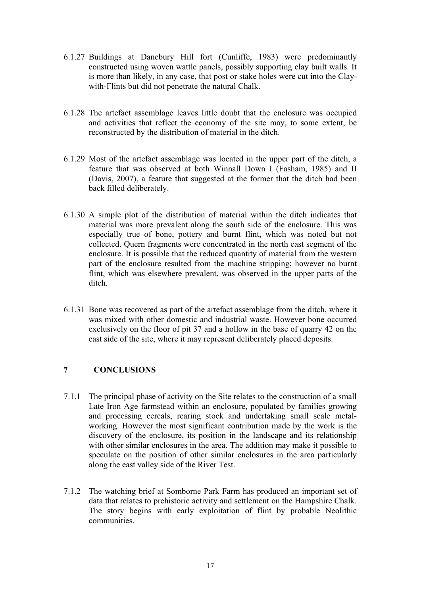- 6.1.27 Buildings at Danebury Hill fort (Cunliffe, 1983) were predominantly constructed using woven wattle panels, possibly supporting clay built walls. It is more than likely, in any case, that post or stake holes were cut into the Claywith-Flints but did not penetrate the natural Chalk.
- 6.1.28 The artefact assemblage leaves little doubt that the enclosure was occupied and activities that reflect the economy of the site may, to some extent, be reconstructed by the distribution of material in the ditch.
- 6.1.29 Most of the artefact assemblage was located in the upper part of the ditch, a feature that was observed at both Winnall Down I (Fasham, 1985) and II (Davis, 2007), a feature that suggested at the former that the ditch had been back filled deliberately.
- 6.1.30 A simple plot of the distribution of material within the ditch indicates that material was more prevalent along the south side of the enclosure. This was especially true of bone, pottery and burnt flint, which was noted but not collected. Quern fragments were concentrated in the north east segment of the enclosure. It is possible that the reduced quantity of material from the western part of the enclosure resulted from the machine stripping; however no burnt flint, which was elsewhere prevalent, was observed in the upper parts of the ditch.
- 6.1.31 Bone was recovered as part of the artefact assemblage from the ditch, where it was mixed with other domestic and industrial waste. However bone occurred exclusively on the floor of pit 37 and a hollow in the base of quarry 42 on the east side of the site, where it may represent deliberately placed deposits.

#### **7 CONCLUSIONS**

- 7.1.1 The principal phase of activity on the Site relates to the construction of a small Late Iron Age farmstead within an enclosure, populated by families growing and processing cereals, rearing stock and undertaking small scale metalworking. However the most significant contribution made by the work is the discovery of the enclosure, its position in the landscape and its relationship with other similar enclosures in the area. The addition may make it possible to speculate on the position of other similar enclosures in the area particularly along the east valley side of the River Test.
- 7.1.2 The watching brief at Somborne Park Farm has produced an important set of data that relates to prehistoric activity and settlement on the Hampshire Chalk. The story begins with early exploitation of flint by probable Neolithic communities.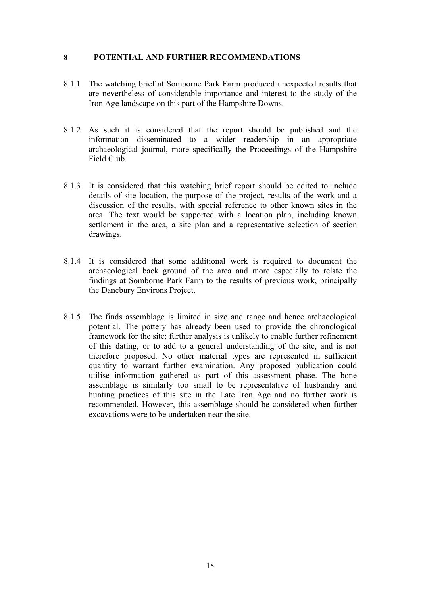#### **8 POTENTIAL AND FURTHER RECOMMENDATIONS**

- 8.1.1 The watching brief at Somborne Park Farm produced unexpected results that are nevertheless of considerable importance and interest to the study of the Iron Age landscape on this part of the Hampshire Downs.
- 8.1.2 As such it is considered that the report should be published and the information disseminated to a wider readership in an appropriate archaeological journal, more specifically the Proceedings of the Hampshire Field Club.
- 8.1.3 It is considered that this watching brief report should be edited to include details of site location, the purpose of the project, results of the work and a discussion of the results, with special reference to other known sites in the area. The text would be supported with a location plan, including known settlement in the area, a site plan and a representative selection of section drawings.
- 8.1.4 It is considered that some additional work is required to document the archaeological back ground of the area and more especially to relate the findings at Somborne Park Farm to the results of previous work, principally the Danebury Environs Project.
- 8.1.5 The finds assemblage is limited in size and range and hence archaeological potential. The pottery has already been used to provide the chronological framework for the site; further analysis is unlikely to enable further refinement of this dating, or to add to a general understanding of the site, and is not therefore proposed. No other material types are represented in sufficient quantity to warrant further examination. Any proposed publication could utilise information gathered as part of this assessment phase. The bone assemblage is similarly too small to be representative of husbandry and hunting practices of this site in the Late Iron Age and no further work is recommended. However, this assemblage should be considered when further excavations were to be undertaken near the site.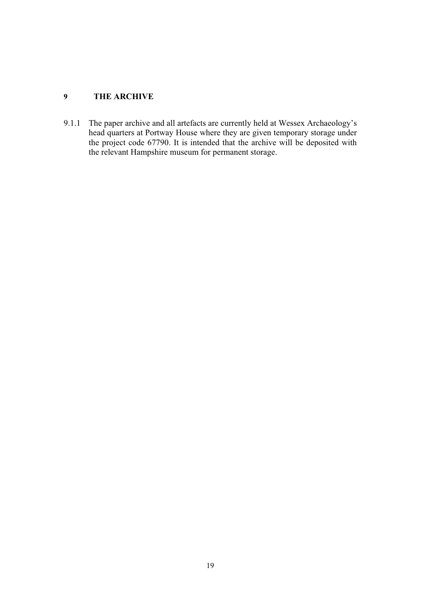#### **9 THE ARCHIVE**

9.1.1 The paper archive and all artefacts are currently held at Wessex Archaeology's head quarters at Portway House where they are given temporary storage under the project code 67790. It is intended that the archive will be deposited with the relevant Hampshire museum for permanent storage.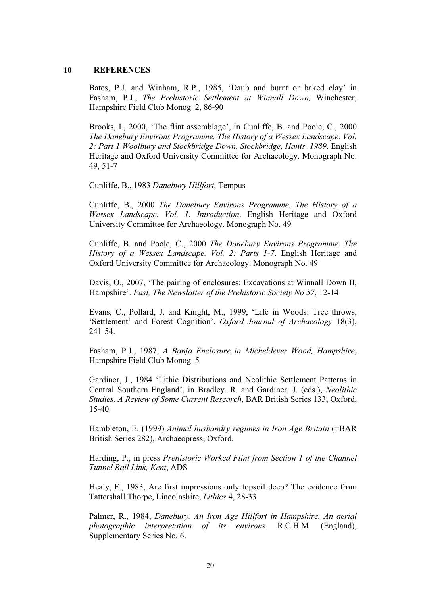#### **10 REFERENCES**

Bates, P.J. and Winham, R.P., 1985, 'Daub and burnt or baked clay' in Fasham, P.J., *The Prehistoric Settlement at Winnall Down,* Winchester, Hampshire Field Club Monog. 2, 86-90

Brooks, I., 2000, 'The flint assemblage', in Cunliffe, B. and Poole, C., 2000 *The Danebury Environs Programme. The History of a Wessex Landscape. Vol. 2: Part 1 Woolbury and Stockbridge Down, Stockbridge, Hants. 1989*. English Heritage and Oxford University Committee for Archaeology. Monograph No. 49, 51-7

Cunliffe, B., 1983 *Danebury Hillfort*, Tempus

Cunliffe, B., 2000 *The Danebury Environs Programme. The History of a Wessex Landscape. Vol. 1. Introduction*. English Heritage and Oxford University Committee for Archaeology. Monograph No. 49

Cunliffe, B. and Poole, C., 2000 *The Danebury Environs Programme. The History of a Wessex Landscape. Vol. 2: Parts 1-7*. English Heritage and Oxford University Committee for Archaeology. Monograph No. 49

Davis, O., 2007, 'The pairing of enclosures: Excavations at Winnall Down II, Hampshire'. *Past, The Newslatter of the Prehistoric Society No 57*, 12-14

Evans, C., Pollard, J. and Knight, M., 1999, 'Life in Woods: Tree throws, 'Settlement' and Forest Cognition'. *Oxford Journal of Archaeology* 18(3), 241-54.

Fasham, P.J., 1987, *A Banjo Enclosure in Micheldever Wood, Hampshire*, Hampshire Field Club Monog. 5

Gardiner, J., 1984 'Lithic Distributions and Neolithic Settlement Patterns in Central Southern England', in Bradley, R. and Gardiner, J. (eds.), *Neolithic Studies. A Review of Some Current Research*, BAR British Series 133, Oxford, 15-40.

Hambleton, E. (1999) *Animal husbandry regimes in Iron Age Britain* (=BAR British Series 282), Archaeopress, Oxford.

Harding, P., in press *Prehistoric Worked Flint from Section 1 of the Channel Tunnel Rail Link, Kent*, ADS

Healy, F., 1983, Are first impressions only topsoil deep? The evidence from Tattershall Thorpe, Lincolnshire, *Lithics* 4, 28-33

Palmer, R., 1984, *Danebury. An Iron Age Hillfort in Hampshire. An aerial photographic interpretation of its environs*. R.C.H.M. (England), Supplementary Series No. 6.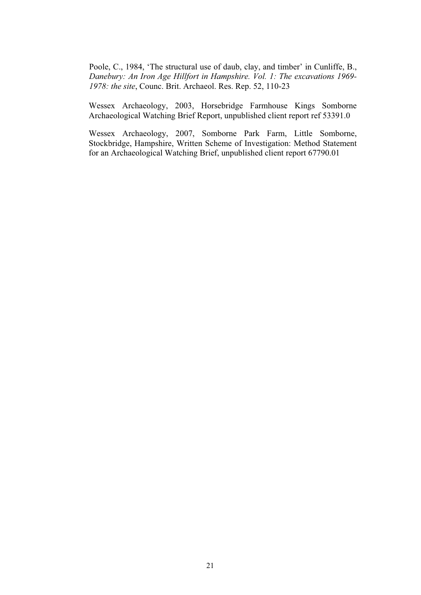Poole, C., 1984, 'The structural use of daub, clay, and timber' in Cunliffe, B., *Danebury: An Iron Age Hillfort in Hampshire. Vol. 1: The excavations 1969- 1978: the site*, Counc. Brit. Archaeol. Res. Rep. 52, 110-23

Wessex Archaeology, 2003, Horsebridge Farmhouse Kings Somborne Archaeological Watching Brief Report, unpublished client report ref 53391.0

Wessex Archaeology, 2007, Somborne Park Farm, Little Somborne, Stockbridge, Hampshire, Written Scheme of Investigation: Method Statement for an Archaeological Watching Brief, unpublished client report 67790.01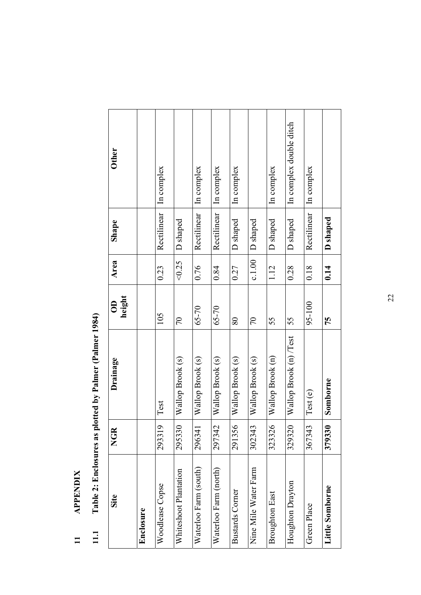## **APPENDIX 11 APPENDIX**   $\overline{11}$

# Table 2: Enclosures as plotted by Palmer (Palmer 1984) **11.1 Table 2: Enclosures as plotted by Palmer (Palmer 1984)**   $11.1$

| Site                   | <b>NGR</b> | Drainage               | height<br>$\Theta$ | Area   | Shape       | <b>Other</b>            |
|------------------------|------------|------------------------|--------------------|--------|-------------|-------------------------|
| Enclosure              |            |                        |                    |        |             |                         |
| Woodlease Copse        | 293319     | Test                   | 105                | 0.23   | Rectilinear | In complex              |
| Whiteshoot Plantation  | 295330     | Wallop Brook (s)       | $\overline{C}$     | <0.25  | D shaped    |                         |
| Waterloo Farm (south)  | 296341     | Wallop Brook (s)       | $65 - 70$          | 0.76   | Rectilinear | In complex              |
| Waterloo Farm (north)  | 297342     | Wallop Brook (s)       | $65 - 70$          | 0.84   | Rectilinear | In complex              |
| <b>Bustards Corner</b> | 291356     | Wallop Brook (s)       | $80\,$             | 0.27   | D shaped    | In complex              |
| Nine Mile Water Farm   | 302343     | Wallop Brook (s)       | $\sqrt{2}$         | c.1.00 | D shaped    |                         |
| Broughton East         | 323326     | Wallop Brook (n)       | 55                 | 1.12   | D shaped    | In complex              |
| Houghton Drayton       | 329320     | Wallop Brook (n) /Test | 55                 | 0.28   | D shaped    | In complex double ditch |
| Green Place            | 367343     | Test (e)               | $95 - 100$         | 0.18   | Rectilinear | In complex              |
| Little Somborne        | 379330     | Somborne               | 75                 | 0.14   | D shaped    |                         |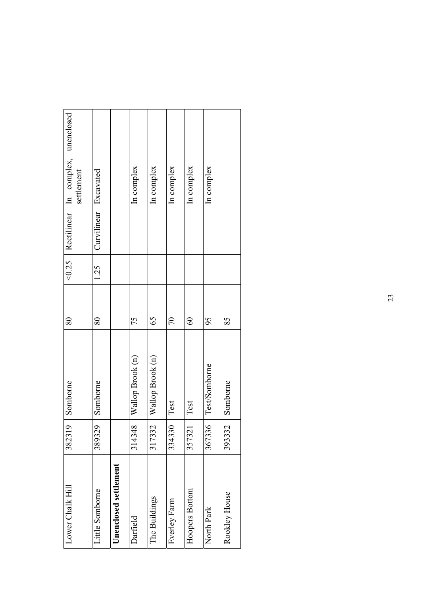| Lower Chalk Hill      | 382319 | Somborne         | 80             |      |                         | <0.25   Rectilinear   In complex, unenclosed<br>settlement |  |
|-----------------------|--------|------------------|----------------|------|-------------------------|------------------------------------------------------------|--|
| Little Somborne       | 389329 | Somborne         | 80             | 1.25 | Curvilinear   Excavated |                                                            |  |
| Unenclosed settlement |        |                  |                |      |                         |                                                            |  |
| Darfield              | 314348 | Wallop Brook (n) | 75             |      |                         | In complex                                                 |  |
| The Buildings         | 317332 | Wallop Brook (n) | 65             |      |                         | In complex                                                 |  |
| Everley Farm          | 334330 | Test             | $\overline{C}$ |      |                         | In complex                                                 |  |
| Hoopers Bottom        | 357321 | Test             | $\infty$       |      |                         | In complex                                                 |  |
| North Park            | 367336 | Test/Somborne    | 95             |      |                         | In complex                                                 |  |
| Rookley House         | 393332 | Somborne         | 85             |      |                         |                                                            |  |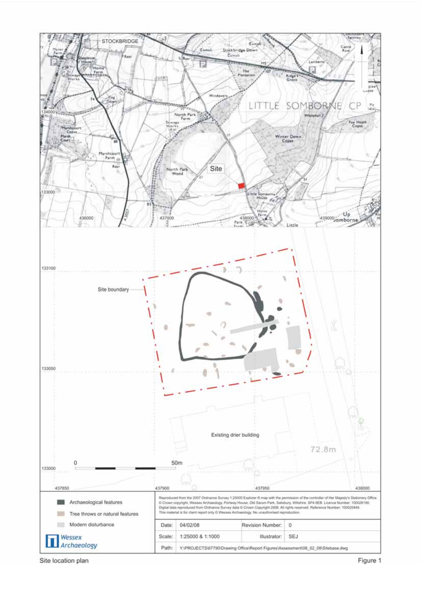

Site location plan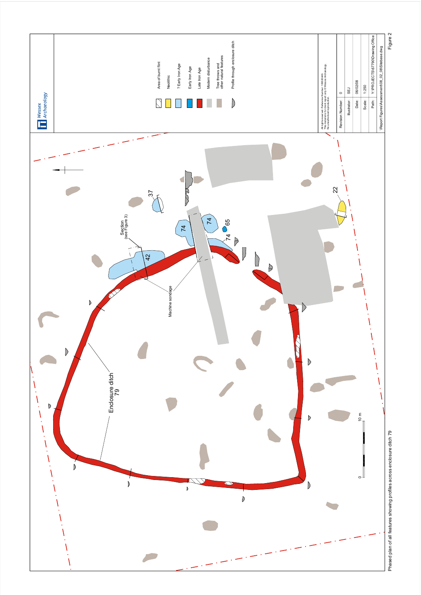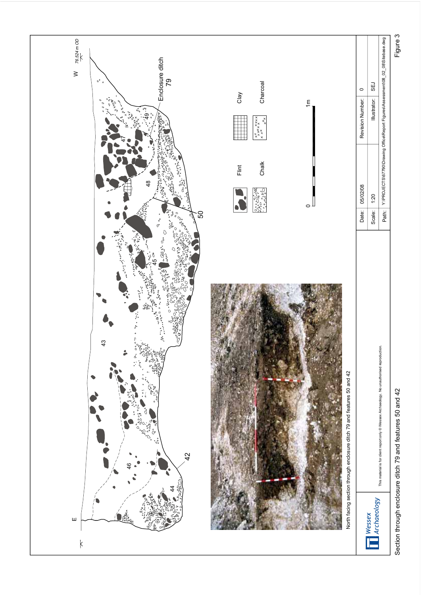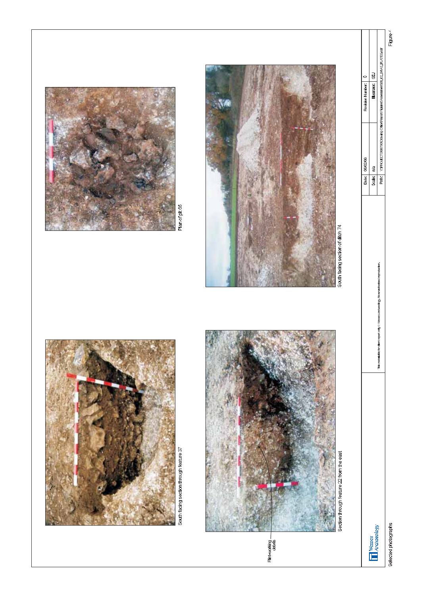Selected photographs

**THE WESSEX** 



South facing section through feature 37



Section through feature 22 from the east









South facing section of ditch 74

This material is for differt report only @ Wessex Archaeology, No unauthorised reproduction.